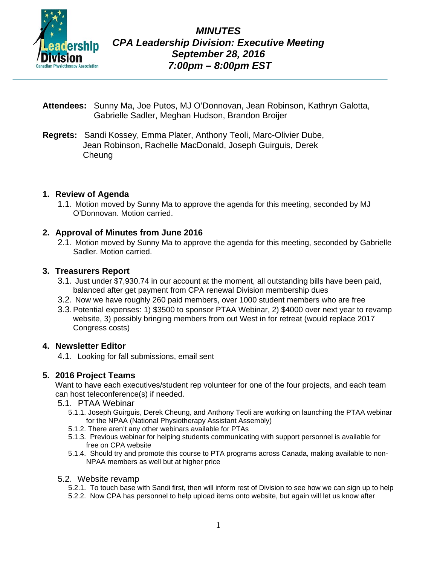

- **Attendees:** Sunny Ma, Joe Putos, MJ O'Donnovan, Jean Robinson, Kathryn Galotta, Gabrielle Sadler, Meghan Hudson, Brandon Broijer
- **Regrets:** Sandi Kossey, Emma Plater, Anthony Teoli, Marc-Olivier Dube, Jean Robinson, Rachelle MacDonald, Joseph Guirguis, Derek **Cheung**

# **1. Review of Agenda**

1.1. Motion moved by Sunny Ma to approve the agenda for this meeting, seconded by MJ O'Donnovan. Motion carried.

# **2. Approval of Minutes from June 2016**

2.1. Motion moved by Sunny Ma to approve the agenda for this meeting, seconded by Gabrielle Sadler. Motion carried.

# **3. Treasurers Report**

- 3.1. Just under \$7,930.74 in our account at the moment, all outstanding bills have been paid, balanced after get payment from CPA renewal Division membership dues
- 3.2. Now we have roughly 260 paid members, over 1000 student members who are free
- 3.3.Potential expenses: 1) \$3500 to sponsor PTAA Webinar, 2) \$4000 over next year to revamp website, 3) possibly bringing members from out West in for retreat (would replace 2017 Congress costs)

# **4. Newsletter Editor**

4.1. Looking for fall submissions, email sent

# **5. 2016 Project Teams**

Want to have each executives/student rep volunteer for one of the four projects, and each team can host teleconference(s) if needed.

- 5.1. PTAA Webinar
	- 5.1.1. Joseph Guirguis, Derek Cheung, and Anthony Teoli are working on launching the PTAA webinar for the NPAA (National Physiotherapy Assistant Assembly)
	- 5.1.2. There aren't any other webinars available for PTAs
	- 5.1.3. Previous webinar for helping students communicating with support personnel is available for free on CPA website
	- 5.1.4. Should try and promote this course to PTA programs across Canada, making available to non-NPAA members as well but at higher price
- 5.2. Website revamp

5.2.1. To touch base with Sandi first, then will inform rest of Division to see how we can sign up to help

5.2.2. Now CPA has personnel to help upload items onto website, but again will let us know after